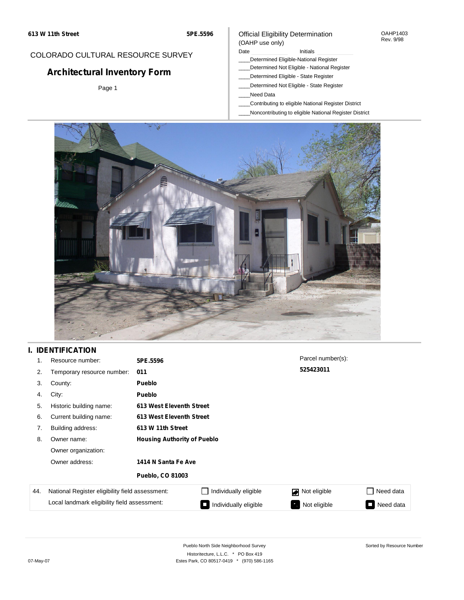## COLORADO CULTURAL RESOURCE SURVEY

# **Architectural Inventory Form**

Page 1

## Official Eligibility Determination (OAHP use only)

### Date **Initials** Initials

- \_\_\_\_Determined Eligible-National Register
- \_\_\_\_Determined Not Eligible National Register
- \_\_\_\_Determined Eligible State Register
- \_\_\_\_Determined Not Eligible State Register
- \_\_\_\_Need Data
- \_\_\_\_Contributing to eligible National Register District
- \_\_\_\_Noncontributing to eligible National Register District



## **I. IDENTIFICATION**

| 1.  | Resource number:                                | 5PE.5596                           |                          | Parcel number(s): |                                       |  |  |
|-----|-------------------------------------------------|------------------------------------|--------------------------|-------------------|---------------------------------------|--|--|
| 2.  | Temporary resource number:                      | 011                                |                          | 525423011         |                                       |  |  |
| 3.  | County:                                         | <b>Pueblo</b>                      |                          |                   |                                       |  |  |
| 4.  | City:                                           | <b>Pueblo</b>                      |                          |                   |                                       |  |  |
| 5.  | Historic building name:                         |                                    | 613 West Eleventh Street |                   |                                       |  |  |
| 6.  | Current building name:                          |                                    | 613 West Eleventh Street |                   |                                       |  |  |
| 7.  | Building address:                               | 613 W 11th Street                  |                          |                   |                                       |  |  |
| 8.  | Owner name:                                     | <b>Housing Authority of Pueblo</b> |                          |                   |                                       |  |  |
|     | Owner organization:                             |                                    |                          |                   |                                       |  |  |
|     | Owner address:                                  | 1414 N Santa Fe Ave                |                          |                   |                                       |  |  |
|     |                                                 | <b>Pueblo, CO 81003</b>            |                          |                   |                                       |  |  |
| 44. | National Register eligibility field assessment: |                                    | Individually eligible    | Not eligible      | Need data                             |  |  |
|     | Local landmark eligibility field assessment:    |                                    | Individually eligible    | Not eligible      | Need data<br>$\overline{\phantom{a}}$ |  |  |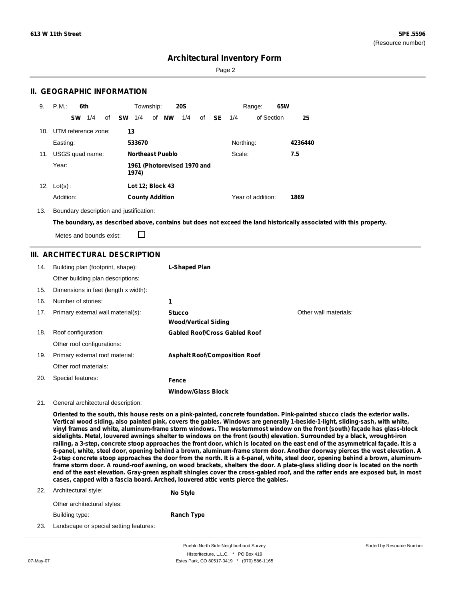Sorted by Resource Number

## **Architectural Inventory Form**

Page 2

## **II. GEOGRAPHIC INFORMATION**

| 9.  | P.M.                | 6th       |     |    |           | Township:               |    |           | <b>20S</b>                  |    |           |           | Range:            | 65W |         |
|-----|---------------------|-----------|-----|----|-----------|-------------------------|----|-----------|-----------------------------|----|-----------|-----------|-------------------|-----|---------|
|     |                     | <b>SW</b> | 1/4 | of | <b>SW</b> | 1/4                     | of | <b>NW</b> | 1/4                         | of | <b>SE</b> | 1/4       | of Section        |     | 25      |
| 10. | UTM reference zone: |           |     |    | 13        |                         |    |           |                             |    |           |           |                   |     |         |
|     | Easting:            |           |     |    |           | 533670                  |    |           |                             |    |           | Northing: |                   |     | 4236440 |
| 11. | USGS quad name:     |           |     |    |           | <b>Northeast Pueblo</b> |    |           |                             |    |           | Scale:    |                   |     | 7.5     |
|     | Year:               |           |     |    |           | 1974)                   |    |           | 1961 (Photorevised 1970 and |    |           |           |                   |     |         |
| 12. | $Lot(s)$ :          |           |     |    |           | Lot 12; Block 43        |    |           |                             |    |           |           |                   |     |         |
|     | Addition:           |           |     |    |           | <b>County Addition</b>  |    |           |                             |    |           |           | Year of addition: |     | 1869    |

13. Boundary description and justification:

The boundary, as described above, contains but does not exceed the land historically associated with this property.

Metes and bounds exist:

П

## **III. ARCHITECTURAL DESCRIPTION**

| 14. | Building plan (footprint, shape):    | L-Shaped Plan                                |                       |
|-----|--------------------------------------|----------------------------------------------|-----------------------|
|     | Other building plan descriptions:    |                                              |                       |
| 15. | Dimensions in feet (length x width): |                                              |                       |
| 16. | Number of stories:                   | 1                                            |                       |
| 17. | Primary external wall material(s):   | <b>Stucco</b><br><b>Wood/Vertical Siding</b> | Other wall materials: |
| 18. | Roof configuration:                  | <b>Gabled Roof/Cross Gabled Roof</b>         |                       |
|     | Other roof configurations:           |                                              |                       |
| 19. | Primary external roof material:      | <b>Asphalt Roof/Composition Roof</b>         |                       |
|     | Other roof materials:                |                                              |                       |
| 20. | Special features:                    | Fence                                        |                       |
|     |                                      | <b>Window/Glass Block</b>                    |                       |

#### 21. General architectural description:

Oriented to the south, this house rests on a pink-painted, concrete foundation. Pink-painted stucco clads the exterior walls. Vertical wood siding, also painted pink, covers the gables. Windows are generally 1-beside-1-light, sliding-sash, with white, vinyl frames and white, aluminum-frame storm windows. The westernmost window on the front (south) façade has glass-block sidelights. Metal, louvered awnings shelter to windows on the front (south) elevation. Surrounded by a black, wrought-iron railing, a 3-step, concrete stoop approaches the front door, which is located on the east end of the asymmetrical façade. It is a 6-panel, white, steel door, opening behind a brown, aluminum-frame storm door. Another doorway pierces the west elevation. A 2-step concrete stoop approaches the door from the north. It is a 6-panel, white, steel door, opening behind a brown, aluminumframe storm door. A round-roof awning, on wood brackets, shelters the door. A plate-glass sliding door is located on the north end of the east elevation. Gray-green asphalt shingles cover the cross-gabled roof, and the rafter ends are exposed but, in most **cases, capped with a fascia board. Arched, louvered attic vents pierce the gables.**

22. Architectural style: **No Style**

|  |  | $\cdot$ . $\cdot$ | −-. |
|--|--|-------------------|-----|
|  |  |                   |     |
|  |  |                   |     |
|  |  |                   |     |
|  |  |                   |     |

Building type:

Other architectural styles:

**Ranch Type**

23. Landscape or special setting features:

Pueblo North Side Neighborhood Survey Historitecture, L.L.C. \* PO Box 419 07-May-07 **Estes Park, CO 80517-0419** \* (970) 586-1165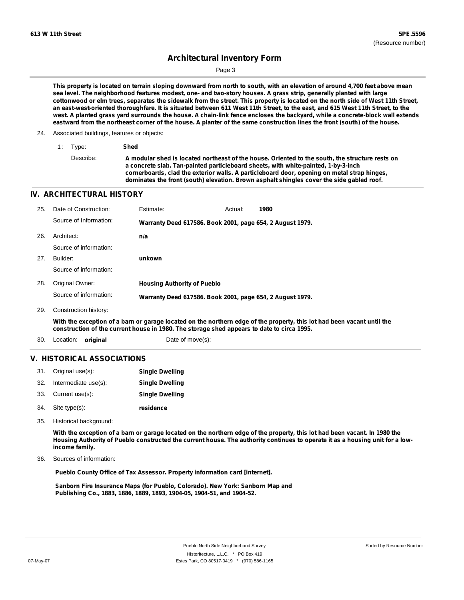Page 3

This property is located on terrain sloping downward from north to south, with an elevation of around 4,700 feet above mean sea level. The neighborhood features modest, one- and two-story houses. A grass strip, generally planted with large cottonwood or elm trees, separates the sidewalk from the street. This property is located on the north side of West 11th Street, an east-west-oriented thoroughfare. It is situated between 611 West 11th Street, to the east, and 615 West 11th Street, to the west. A planted grass yard surrounds the house. A chain-link fence encloses the backyard, while a concrete-block wall extends eastward from the northeast corner of the house. A planter of the same construction lines the front (south) of the house.

#### 24. Associated buildings, features or objects:

| 1 Type:   | Shed                                                                                                                                                                                                                                                                                                                                                                              |
|-----------|-----------------------------------------------------------------------------------------------------------------------------------------------------------------------------------------------------------------------------------------------------------------------------------------------------------------------------------------------------------------------------------|
| Describe: | A modular shed is located northeast of the house. Oriented to the south, the structure rests on<br>a concrete slab. Tan-painted particleboard sheets, with white-painted, 1-by-3-inch<br>cornerboards, clad the exterior walls. A particleboard door, opening on metal strap hinges,<br>dominates the front (south) elevation. Brown asphalt shingles cover the side gabled roof. |

### **IV. ARCHITECTURAL HISTORY**

| 25. | Date of Construction:  | Estimate:                                                 | Actual: | 1980 |
|-----|------------------------|-----------------------------------------------------------|---------|------|
|     | Source of Information: | Warranty Deed 617586. Book 2001, page 654, 2 August 1979. |         |      |
| 26. | Architect:             | n/a                                                       |         |      |
|     | Source of information: |                                                           |         |      |
| 27. | Builder:               | unkown                                                    |         |      |
|     | Source of information: |                                                           |         |      |
| 28. | Original Owner:        | <b>Housing Authority of Pueblo</b>                        |         |      |
|     | Source of information: | Warranty Deed 617586. Book 2001, page 654, 2 August 1979. |         |      |
| 29. | Construction history:  |                                                           |         |      |

With the exception of a barn or garage located on the northern edge of the property, this lot had been vacant until the **construction of the current house in 1980. The storage shed appears to date to circa 1995.**

30. Location: **original** Date of move(s):

### **V. HISTORICAL ASSOCIATIONS**

|     | 31. Original use(s): | <b>Single Dwelling</b> |
|-----|----------------------|------------------------|
| 32. | Intermediate use(s): | <b>Single Dwelling</b> |
|     | 33. Current use(s):  | <b>Single Dwelling</b> |
|     | 34. Site type(s):    | residence              |

35. Historical background:

With the exception of a barn or garage located on the northern edge of the property, this lot had been vacant. In 1980 the Housing Authority of Pueblo constructed the current house. The authority continues to operate it as a housing unit for a low**income family.**

Sources of information: 36.

**Pueblo County Office of Tax Assessor. Property information card [internet].**

**Sanborn Fire Insurance Maps (for Pueblo, Colorado). New York: Sanborn Map and Publishing Co., 1883, 1886, 1889, 1893, 1904-05, 1904-51, and 1904-52.**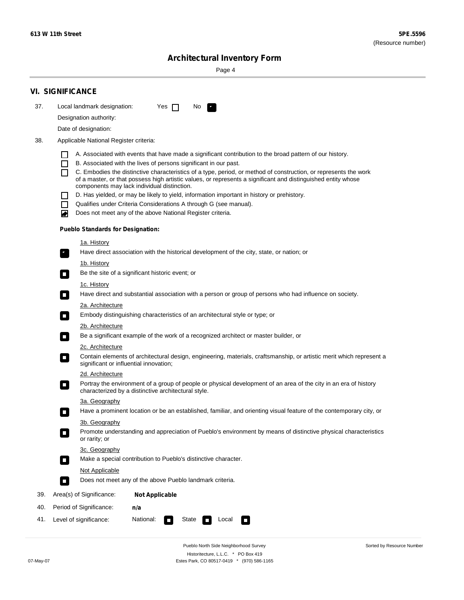۰

Sorted by Resource Number

# **Architectural Inventory Form**

Page 4

|     | <b>VI. SIGNIFICANCE</b>                                                                                                                                                                                                                                                                                                                                                                                                                                                                                                                                                                                                                                                                                                                                                                                                                                                                                                                                                                                                                                                                                                                                                                                                                                                                                                                                                                                                                                                                                                                                                                                                                                                                                                                                                                                                                                                                                                                                                                                                                                                                                                                                                                                                                                                               |
|-----|---------------------------------------------------------------------------------------------------------------------------------------------------------------------------------------------------------------------------------------------------------------------------------------------------------------------------------------------------------------------------------------------------------------------------------------------------------------------------------------------------------------------------------------------------------------------------------------------------------------------------------------------------------------------------------------------------------------------------------------------------------------------------------------------------------------------------------------------------------------------------------------------------------------------------------------------------------------------------------------------------------------------------------------------------------------------------------------------------------------------------------------------------------------------------------------------------------------------------------------------------------------------------------------------------------------------------------------------------------------------------------------------------------------------------------------------------------------------------------------------------------------------------------------------------------------------------------------------------------------------------------------------------------------------------------------------------------------------------------------------------------------------------------------------------------------------------------------------------------------------------------------------------------------------------------------------------------------------------------------------------------------------------------------------------------------------------------------------------------------------------------------------------------------------------------------------------------------------------------------------------------------------------------------|
| 37. | Local landmark designation:<br>Yes $\Box$<br>No.<br>$\mathcal{F}_\alpha$                                                                                                                                                                                                                                                                                                                                                                                                                                                                                                                                                                                                                                                                                                                                                                                                                                                                                                                                                                                                                                                                                                                                                                                                                                                                                                                                                                                                                                                                                                                                                                                                                                                                                                                                                                                                                                                                                                                                                                                                                                                                                                                                                                                                              |
|     | Designation authority:                                                                                                                                                                                                                                                                                                                                                                                                                                                                                                                                                                                                                                                                                                                                                                                                                                                                                                                                                                                                                                                                                                                                                                                                                                                                                                                                                                                                                                                                                                                                                                                                                                                                                                                                                                                                                                                                                                                                                                                                                                                                                                                                                                                                                                                                |
|     | Date of designation:                                                                                                                                                                                                                                                                                                                                                                                                                                                                                                                                                                                                                                                                                                                                                                                                                                                                                                                                                                                                                                                                                                                                                                                                                                                                                                                                                                                                                                                                                                                                                                                                                                                                                                                                                                                                                                                                                                                                                                                                                                                                                                                                                                                                                                                                  |
| 38. |                                                                                                                                                                                                                                                                                                                                                                                                                                                                                                                                                                                                                                                                                                                                                                                                                                                                                                                                                                                                                                                                                                                                                                                                                                                                                                                                                                                                                                                                                                                                                                                                                                                                                                                                                                                                                                                                                                                                                                                                                                                                                                                                                                                                                                                                                       |
|     | Applicable National Register criteria:<br>A. Associated with events that have made a significant contribution to the broad pattern of our history.<br>B. Associated with the lives of persons significant in our past.<br>$\mathsf{L}$<br>C. Embodies the distinctive characteristics of a type, period, or method of construction, or represents the work<br>П<br>of a master, or that possess high artistic values, or represents a significant and distinguished entity whose<br>components may lack individual distinction.<br>D. Has yielded, or may be likely to yield, information important in history or prehistory.<br>Qualifies under Criteria Considerations A through G (see manual).<br>$\mathbf{I}$<br>Does not meet any of the above National Register criteria.<br>♦<br><b>Pueblo Standards for Designation:</b><br><u>1a. History</u><br>Have direct association with the historical development of the city, state, or nation; or<br>$\mathbf{r}_i$<br><u>1b. History</u><br>Be the site of a significant historic event; or<br>$\blacksquare$<br>1c. History<br>Have direct and substantial association with a person or group of persons who had influence on society.<br>$\sim$<br>2a. Architecture<br>Embody distinguishing characteristics of an architectural style or type; or<br>О<br>2b. Architecture<br>Be a significant example of the work of a recognized architect or master builder, or<br>$\mathcal{L}_{\mathcal{A}}$<br>2c. Architecture<br>Contain elements of architectural design, engineering, materials, craftsmanship, or artistic merit which represent a<br>О<br>significant or influential innovation;<br>2d. Architecture<br>Portray the environment of a group of people or physical development of an area of the city in an era of history<br>о<br>characterized by a distinctive architectural style.<br>3a. Geography<br>Have a prominent location or be an established, familiar, and orienting visual feature of the contemporary city, or<br>3b. Geography<br>Promote understanding and appreciation of Pueblo's environment by means of distinctive physical characteristics<br>or rarity; or<br>3c. Geography<br>Make a special contribution to Pueblo's distinctive character.<br>$\overline{\phantom{a}}$<br>Not Applicable |
|     | Does not meet any of the above Pueblo landmark criteria.<br>n.                                                                                                                                                                                                                                                                                                                                                                                                                                                                                                                                                                                                                                                                                                                                                                                                                                                                                                                                                                                                                                                                                                                                                                                                                                                                                                                                                                                                                                                                                                                                                                                                                                                                                                                                                                                                                                                                                                                                                                                                                                                                                                                                                                                                                        |
| 39. | Area(s) of Significance:<br><b>Not Applicable</b>                                                                                                                                                                                                                                                                                                                                                                                                                                                                                                                                                                                                                                                                                                                                                                                                                                                                                                                                                                                                                                                                                                                                                                                                                                                                                                                                                                                                                                                                                                                                                                                                                                                                                                                                                                                                                                                                                                                                                                                                                                                                                                                                                                                                                                     |
| 40. | Period of Significance:<br>n/a                                                                                                                                                                                                                                                                                                                                                                                                                                                                                                                                                                                                                                                                                                                                                                                                                                                                                                                                                                                                                                                                                                                                                                                                                                                                                                                                                                                                                                                                                                                                                                                                                                                                                                                                                                                                                                                                                                                                                                                                                                                                                                                                                                                                                                                        |
| 41. | National:<br>Level of significance:<br>Local<br>State<br>$\Box$<br>П                                                                                                                                                                                                                                                                                                                                                                                                                                                                                                                                                                                                                                                                                                                                                                                                                                                                                                                                                                                                                                                                                                                                                                                                                                                                                                                                                                                                                                                                                                                                                                                                                                                                                                                                                                                                                                                                                                                                                                                                                                                                                                                                                                                                                  |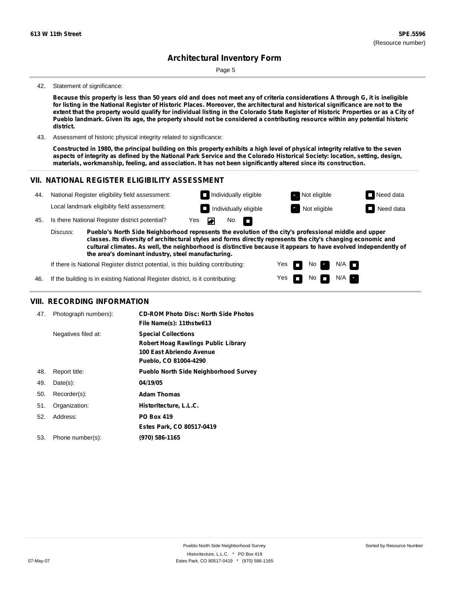Page 5

#### 42. Statement of significance:

Because this property is less than 50 years old and does not meet any of criteria considerations A through G, it is ineligible for listing in the National Register of Historic Places. Moreover, the architectural and historical significance are not to the extent that the property would qualify for individual listing in the Colorado State Register of Historic Properties or as a City of Pueblo landmark. Given its age, the property should not be considered a contributing resource within any potential historic **district.**

43. Assessment of historic physical integrity related to significance:

Constructed in 1980, the principal building on this property exhibits a high level of physical integrity relative to the seven aspects of integrity as defined by the National Park Service and the Colorado Historical Society: location, setting, design, **materials, workmanship, feeling, and association. It has not been significantly altered since its construction.**

### **VII. NATIONAL REGISTER ELIGIBILITY ASSESSMENT**



Yes Yes

m m No **Ex** 

 $N$ o  $N/A$ 

 $N/A$ 

If there is National Register district potential, is this building contributing:

If the building is in existing National Register district, is it contributing: 46.

### **VIII. RECORDING INFORMATION**

| 47. | Photograph numbers): | <b>CD-ROM Photo Disc: North Side Photos</b><br>File Name(s): 11thstw613                                                       |
|-----|----------------------|-------------------------------------------------------------------------------------------------------------------------------|
|     | Negatives filed at:  | <b>Special Collections</b><br><b>Robert Hoag Rawlings Public Library</b><br>100 East Abriendo Avenue<br>Pueblo, CO 81004-4290 |
| 48. | Report title:        | <b>Pueblo North Side Neighborhood Survey</b>                                                                                  |
| 49. | $Date(s)$ :          | 04/19/05                                                                                                                      |
| 50. | Recorder(s):         | <b>Adam Thomas</b>                                                                                                            |
| 51. | Organization:        | Historitecture, L.L.C.                                                                                                        |
| 52. | Address:             | <b>PO Box 419</b>                                                                                                             |
|     |                      | Estes Park, CO 80517-0419                                                                                                     |
| 53. | Phone number(s):     | (970) 586-1165                                                                                                                |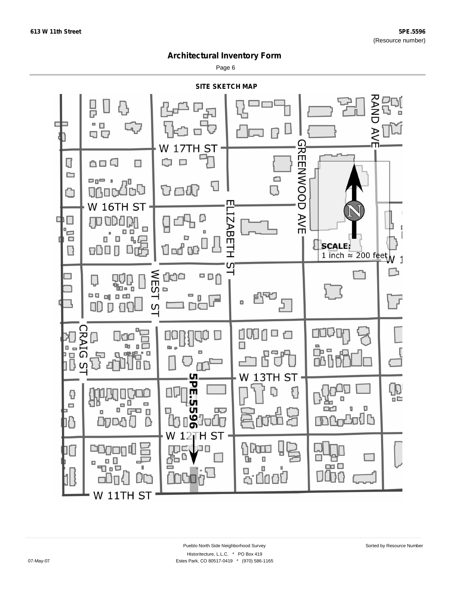Page 6